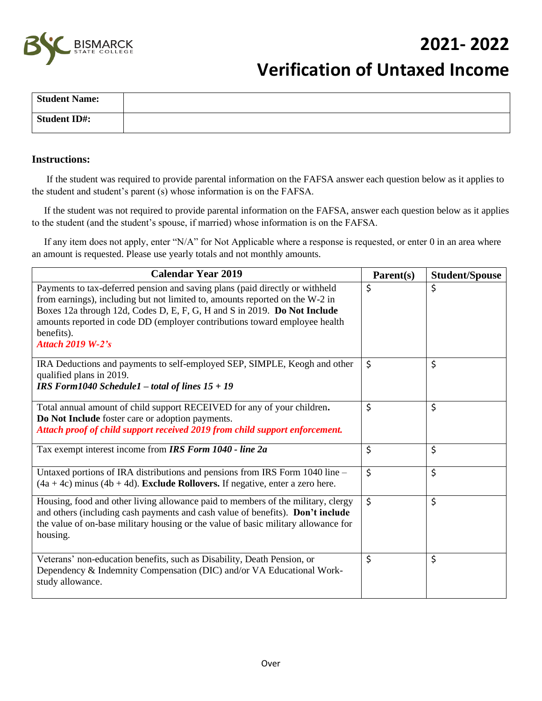

## **2021- 2022**

# **Verification of Untaxed Income**

| <b>Student Name:</b> |  |
|----------------------|--|
| <b>Student ID#:</b>  |  |

#### **Instructions:**

 If the student was required to provide parental information on the FAFSA answer each question below as it applies to the student and student's parent (s) whose information is on the FAFSA.

 If the student was not required to provide parental information on the FAFSA, answer each question below as it applies to the student (and the student's spouse, if married) whose information is on the FAFSA.

 If any item does not apply, enter "N/A" for Not Applicable where a response is requested, or enter 0 in an area where an amount is requested. Please use yearly totals and not monthly amounts.

| <b>Calendar Year 2019</b>                                                                                                                                                                                                                                                                                                                                        | Parent(s) | <b>Student/Spouse</b> |
|------------------------------------------------------------------------------------------------------------------------------------------------------------------------------------------------------------------------------------------------------------------------------------------------------------------------------------------------------------------|-----------|-----------------------|
| Payments to tax-deferred pension and saving plans (paid directly or withheld<br>from earnings), including but not limited to, amounts reported on the W-2 in<br>Boxes 12a through 12d, Codes D, E, F, G, H and S in 2019. Do Not Include<br>amounts reported in code DD (employer contributions toward employee health<br>benefits).<br><b>Attach 2019 W-2's</b> | \$        | \$                    |
| IRA Deductions and payments to self-employed SEP, SIMPLE, Keogh and other<br>qualified plans in 2019.<br>IRS Form $1040$ Schedule $1$ – total of lines $15 + 19$                                                                                                                                                                                                 | \$        | \$                    |
| Total annual amount of child support RECEIVED for any of your children.<br>Do Not Include foster care or adoption payments.<br>Attach proof of child support received 2019 from child support enforcement.                                                                                                                                                       | \$        | \$                    |
| Tax exempt interest income from IRS Form 1040 - line 2a                                                                                                                                                                                                                                                                                                          | \$        | \$                    |
| Untaxed portions of IRA distributions and pensions from IRS Form 1040 line -<br>$(4a + 4c)$ minus $(4b + 4d)$ . Exclude Rollovers. If negative, enter a zero here.                                                                                                                                                                                               | \$        | \$                    |
| Housing, food and other living allowance paid to members of the military, clergy<br>and others (including cash payments and cash value of benefits). Don't include<br>the value of on-base military housing or the value of basic military allowance for<br>housing.                                                                                             | \$        | \$                    |
| Veterans' non-education benefits, such as Disability, Death Pension, or<br>Dependency & Indemnity Compensation (DIC) and/or VA Educational Work-<br>study allowance.                                                                                                                                                                                             | \$        | \$                    |